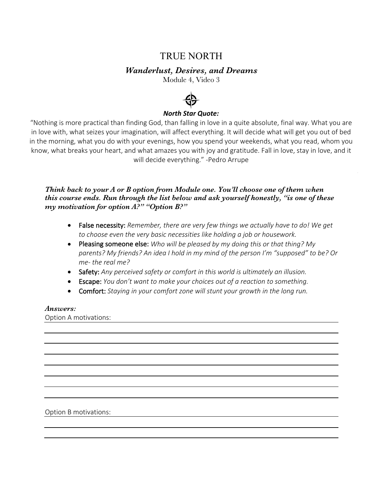# TRUE NORTH

# *Wanderlust, Desires, and Dreams*

Module 4, Video 3



## *North Star Quote:*

"Nothing is more practical than finding God, than falling in love in a quite absolute, final way. What you are in love with, what seizes your imagination, will affect everything. It will decide what will get you out of bed in the morning, what you do with your evenings, how you spend your weekends, what you read, whom you know, what breaks your heart, and what amazes you with joy and gratitude. Fall in love, stay in love, and it will decide everything." -Pedro Arrupe

## *Think back to your A or B option from Module one. You'll choose one of them when this course ends. Run through the list below and ask yourself honestly, "is one of these my motivation for option A?" "Option B?"*

- False necessity: *Remember, there are very few things we actually have to do! We get to choose even the very basic necessities like holding a job or housework.*
- Pleasing someone else: *Who will be pleased by my doing this or that thing? My parents? My friends? An idea I hold in my mind of the person I'm "supposed" to be? Or me- the real me?*
- Safety: *Any perceived safety or comfort in this world is ultimately an illusion.*
- Escape: *You don't want to make your choices out of a reaction to something.*
- Comfort: *Staying in your comfort zone will stunt your growth in the long run.*

#### *Answers:*

Option A motivations:

Option B motivations: